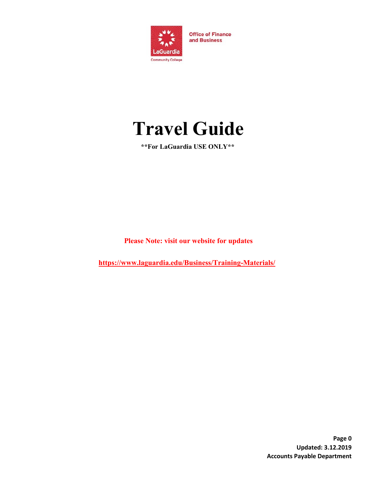

**Office of Finance** and Business

# **Travel Guide**

**\*\*For LaGuardia USE ONLY\*\*** 

**Please Note: visit our website for updates** 

**<https://www.laguardia.edu/Business/Training-Materials/>**

**Page 0 Updated: 3.12.2019 Accounts Payable Department**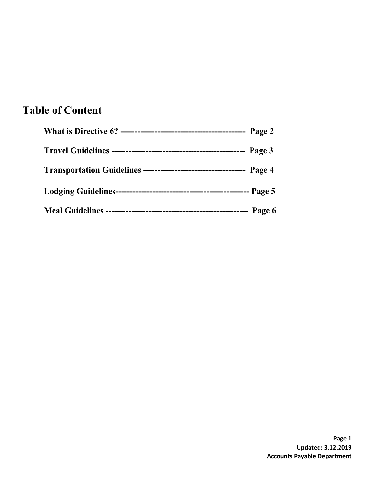### **Table of Content**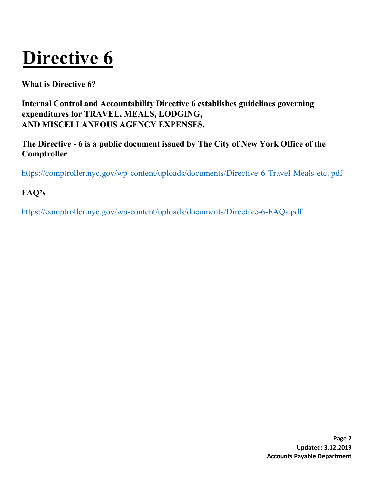# **Directive 6**

**What is Directive 6?**

**Internal Control and Accountability Directive 6 establishes guidelines governing expenditures for TRAVEL, MEALS, LODGING, AND MISCELLANEOUS AGENCY EXPENSES.** 

**The Directive - 6 is a public document issued by The City of New York Office of the Comptroller** 

<https://comptroller.nyc.gov/wp-content/uploads/documents/Directive-6-Travel-Meals-etc..pdf>

**FAQ's** 

<https://comptroller.nyc.gov/wp-content/uploads/documents/Directive-6-FAQs.pdf>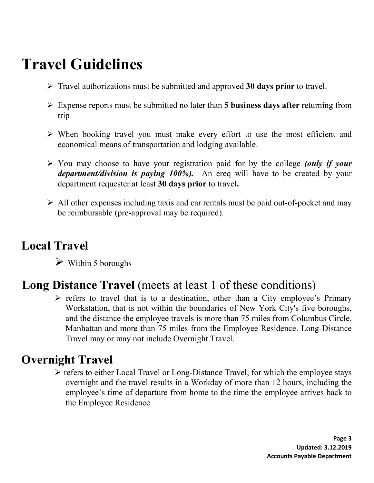# **Travel Guidelines**

- Travel authorizations must be submitted and approved **30 days prior** to travel.
- Expense reports must be submitted no later than **5 business days after** returning from trip
- $\triangleright$  When booking travel you must make every effort to use the most efficient and economical means of transportation and lodging available.
- You may choose to have your registration paid for by the college *(only if your department/division is paying 100%).* An ereq will have to be created by your department requester at least **30 days prior** to travel**.**
- $\triangleright$  All other expenses including taxis and car rentals must be paid out-of-pocket and may be reimbursable (pre-approval may be required).

## **Local Travel**

Within 5 boroughs

## **Long Distance Travel** (meets at least 1 of these conditions)

 $\triangleright$  refers to travel that is to a destination, other than a City employee's Primary Workstation, that is not within the boundaries of New York City's five boroughs, and the distance the employee travels is more than 75 miles from Columbus Circle, Manhattan and more than 75 miles from the Employee Residence. Long-Distance Travel may or may not include Overnight Travel.

## **Overnight Travel**

 $\triangleright$  refers to either Local Travel or Long-Distance Travel, for which the employee stays overnight and the travel results in a Workday of more than 12 hours, including the employee's time of departure from home to the time the employee arrives back to the Employee Residence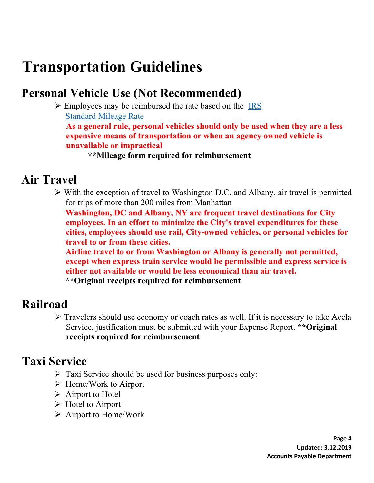# **Transportation Guidelines**

## **Personal Vehicle Use (Not Recommended)**

 $\triangleright$  Employees may be reimbursed the rate based on the IRS [Standard Mileage](https://www.irs.gov/tax-professionals/standard-mileage-rates) [Rate](https://www.irs.gov/tax-professionals/standard-mileage-rates)

**As a general rule, personal vehicles should only be used when they are a less expensive means of transportation or when an agency owned vehicle is unavailable or impractical** 

**\*\*Mileage form required for reimbursement** 

#### **Air Travel**

 $\triangleright$  With the exception of travel to Washington D.C. and Albany, air travel is permitted for trips of more than 200 miles from Manhattan

**Washington, DC and Albany, NY are frequent travel destinations for City employees. In an effort to minimize the City's travel expenditures for these cities, employees should use rail, City-owned vehicles, or personal vehicles for travel to or from these cities.** 

**Airline travel to or from Washington or Albany is generally not permitted, except when express train service would be permissible and express service is either not available or would be less economical than air travel. \*\*Original receipts required for reimbursement**

#### **Railroad**

 Travelers should use economy or coach rates as well. If it is necessary to take Acela Service, justification must be submitted with your Expense Report. **\*\*Original receipts required for reimbursement** 

#### **Taxi Service**

- $\triangleright$  Taxi Service should be used for business purposes only:
- $\triangleright$  Home/Work to Airport
- $\triangleright$  Airport to Hotel
- $\triangleright$  Hotel to Airport
- Airport to Home/Work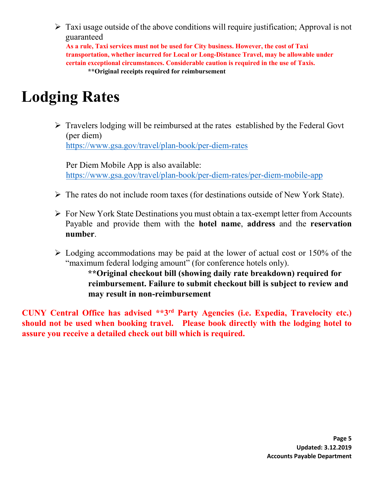$\triangleright$  Taxi usage outside of the above conditions will require justification; Approval is not guaranteed

**As a rule, Taxi services must not be used for City business. However, the cost of Taxi transportation, whether incurred for Local or Long-Distance Travel, may be allowable under certain exceptional circumstances. Considerable caution is required in the use of Taxis. \*\*Original receipts required for reimbursement**

## **Lodging Rates**

 Travelers lodging will be reimbursed at the rates established by the Federal Govt (per diem) <https://www.gsa.gov/travel/plan-book/per-diem-rates>

Per Diem Mobile App is also available: <https://www.gsa.gov/travel/plan-book/per-diem-rates/per-diem-mobile-app>

- The rates do not include room taxes (for destinations outside of New York State).
- For New York State Destinations you must obtain a tax-exempt letter from Accounts Payable and provide them with the **hotel name**, **address** and the **reservation number**.
- $\triangleright$  Lodging accommodations may be paid at the lower of actual cost or 150% of the "maximum federal lodging amount" (for conference hotels only).

**\*\*Original checkout bill (showing daily rate breakdown) required for reimbursement. Failure to submit checkout bill is subject to review and may result in non-reimbursement**

**CUNY Central Office has advised \*\*3rd Party Agencies (i.e. Expedia, Travelocity etc.) should not be used when booking travel. Please book directly with the lodging hotel to assure you receive a detailed check out bill which is required.**